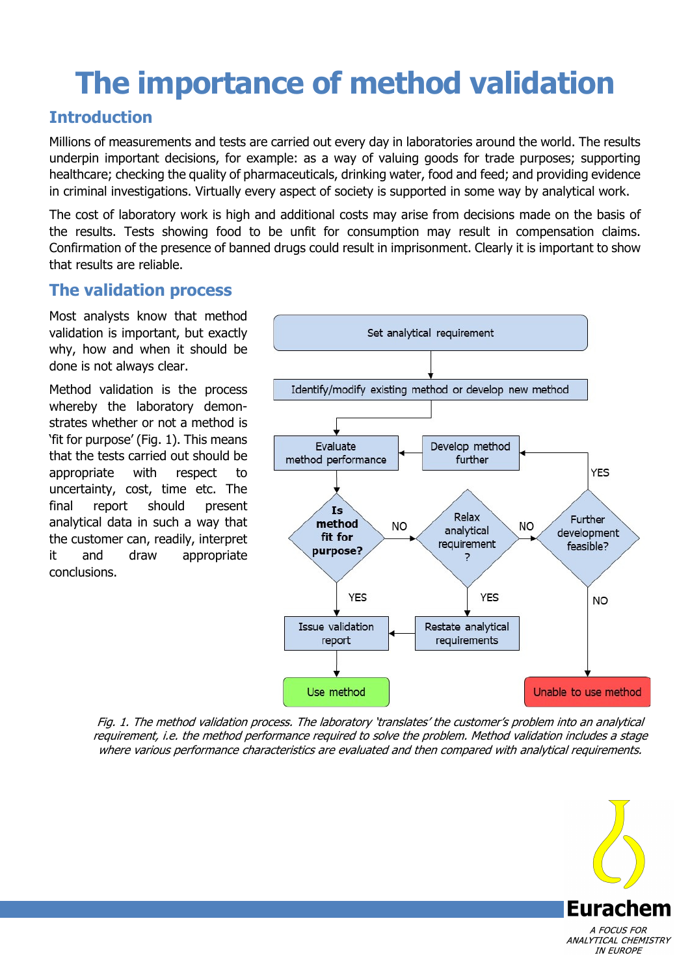# **The importance of method validation**

#### **Introduction**

Millions of measurements and tests are carried out every day in laboratories around the world. The results underpin important decisions, for example: as a way of valuing goods for trade purposes; supporting healthcare; checking the quality of pharmaceuticals, drinking water, food and feed; and providing evidence in criminal investigations. Virtually every aspect of society is supported in some way by analytical work.

The cost of laboratory work is high and additional costs may arise from decisions made on the basis of the results. Tests showing food to be unfit for consumption may result in compensation claims. Confirmation of the presence of banned drugs could result in imprisonment. Clearly it is important to show that results are reliable.

#### **The validation process**

Most analysts know that method validation is important, but exactly why, how and when it should be done is not always clear.

Method validation is the process whereby the laboratory demonstrates whether or not a method is 'fit for purpose' (Fig. 1). This means that the tests carried out should be appropriate with respect to uncertainty, cost, time etc. The final report should present analytical data in such a way that the customer can, readily, interpret it and draw appropriate conclusions.



Fig. 1. The method validation process. The laboratory 'translates' the customer's problem into an analytical requirement, i.e. the method performance required to solve the problem. Method validation includes a stage where various performance characteristics are evaluated and then compared with analytical requirements.